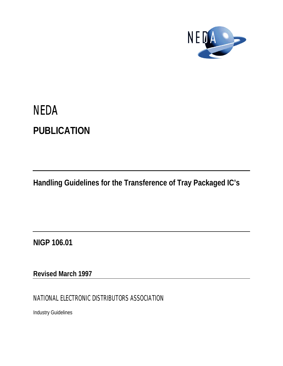

# **NEDA PUBLICATION**

**Handling Guidelines for the Transference of Tray Packaged IC's**

**NIGP 106.01**

**Revised March 1997**

NATIONAL ELECTRONIC DISTRIBUTORS ASSOCIATION

Industry Guidelines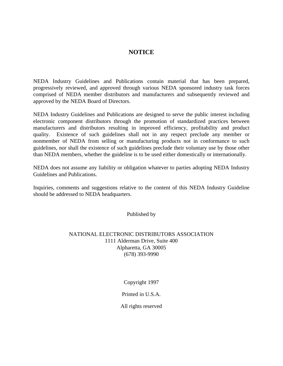# **NOTICE**

NEDA Industry Guidelines and Publications contain material that has been prepared, progressively reviewed, and approved through various NEDA sponsored industry task forces comprised of NEDA member distributors and manufacturers and subsequently reviewed and approved by the NEDA Board of Directors.

NEDA Industry Guidelines and Publications are designed to serve the public interest including electronic component distributors through the promotion of standardized practices between manufacturers and distributors resulting in improved efficiency, profitability and product quality. Existence of such guidelines shall not in any respect preclude any member or nonmember of NEDA from selling or manufacturing products not in conformance to such guidelines, nor shall the existence of such guidelines preclude their voluntary use by those other than NEDA members, whether the guideline is to be used either domestically or internationally.

NEDA does not assume any liability or obligation whatever to parties adopting NEDA Industry Guidelines and Publications.

Inquiries, comments and suggestions relative to the content of this NEDA Industry Guideline should be addressed to NEDA headquarters.

Published by

# NATIONAL ELECTRONIC DISTRIBUTORS ASSOCIATION 1111 Alderman Drive, Suite 400 Alpharetta, GA 30005 (678) 393-9990

Copyright 1997

Printed in U.S.A.

All rights reserved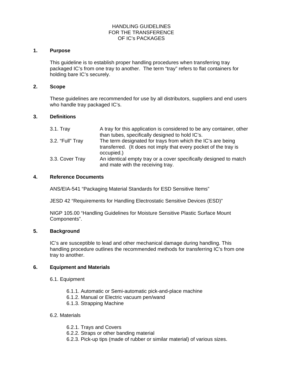# HANDLING GUIDELINES FOR THE TRANSFERENCE OF IC's PACKAGES

## **1. Purpose**

This guideline is to establish proper handling procedures when transferring tray packaged IC's from one tray to another. The term "tray" refers to flat containers for holding bare IC's securely.

# **2. Scope**

These guidelines are recommended for use by all distributors, suppliers and end users who handle tray packaged IC's.

## **3. Definitions**

| $3.1.$ Tray      | A tray for this application is considered to be any container, other<br>than tubes, specifically designed to hold IC's. |
|------------------|-------------------------------------------------------------------------------------------------------------------------|
| 3.2. "Full" Tray | The term designated for trays from which the IC's are being                                                             |
|                  | transferred. (It does not imply that every pocket of the tray is<br>occupied.)                                          |
| 3.3. Cover Tray  | An identical empty tray or a cover specifically designed to match<br>and mate with the receiving tray.                  |

#### **4. Reference Documents**

ANS/EIA-541 "Packaging Material Standards for ESD Sensitive Items"

JESD 42 "Requirements for Handling Electrostatic Sensitive Devices (ESD)"

NIGP 105.00 "Handling Guidelines for Moisture Sensitive Plastic Surface Mount Components".

#### **5. Background**

IC's are susceptible to lead and other mechanical damage during handling. This handling procedure outlines the recommended methods for transferring IC's from one tray to another.

#### **6. Equipment and Materials**

- 6.1. Equipment
	- 6.1.1. Automatic or Semi-automatic pick-and-place machine
	- 6.1.2. Manual or Electric vacuum pen/wand
	- 6.1.3. Strapping Machine

# 6.2. Materials

- 6.2.1. Trays and Covers
- 6.2.2. Straps or other banding material
- 6.2.3. Pick-up tips (made of rubber or similar material) of various sizes.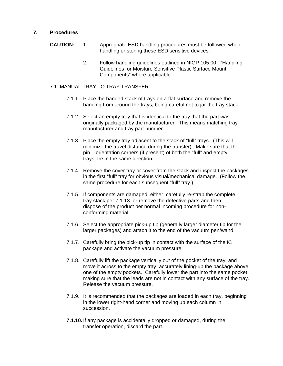# **7. Procedures**

- **CAUTION:** 1. Appropriate ESD handling procedures must be followed when handling or storing these ESD sensitive devices.
	- 2. Follow handling guidelines outlined in NIGP 105.00, "Handling Guidelines for Moisture Sensitive Plastic Surface Mount Components" where applicable.

# 7.1. MANUAL TRAY TO TRAY TRANSFER

- 7.1.1. Place the banded stack of trays on a flat surface and remove the banding from around the trays, being careful not to jar the tray stack.
- 7.1.2. Select an empty tray that is identical to the tray that the part was originally packaged by the manufacturer. This means matching tray manufacturer and tray part number.
- 7.1.3. Place the empty tray adjacent to the stack of "full" trays.(This will minimize the travel distance during the transfer). Make sure that the pin 1 orientation corners (if present) of both the "full" and empty trays are in the same direction.
- 7.1.4. Remove the cover tray or cover from the stack and inspect the packages in the first "full" tray for obvious visual/mechanical damage. (Follow the same procedure for each subsequent "full" tray.)
- 7.1.5. If components are damaged, either, carefully re-strap the complete tray stack per 7.1.13. or remove the defective parts and then dispose of the product per normal incoming procedure for nonconforming material.
- 7.1.6. Select the appropriate pick-up tip (generally larger diameter tip for the larger packages) and attach it to the end of the vacuum pen/wand.
- 7.1.7. Carefully bring the pick-up tip in contact with the surface of the IC package and activate the vacuum pressure.
- 7.1.8. Carefully lift the package vertically out of the pocket of the tray, and move it across to the empty tray, accurately lining-up the package above one of the empty pockets. Carefully lower the part into the same pocket, making sure that the leads are not in contact with any surface of the tray. Release the vacuum pressure.
- 7.1.9. It is recommended that the packages are loaded in each tray, beginning in the lower right-hand corner and moving up each column in succession.
- **7.1.10.** If any package is accidentally dropped or damaged, during the transfer operation, discard the part.